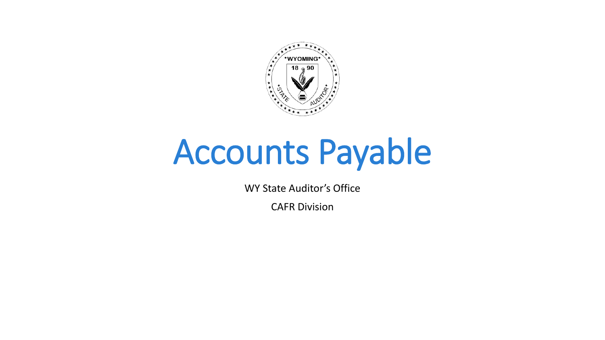

# Accounts Payable

WY State Auditor's Office

CAFR Division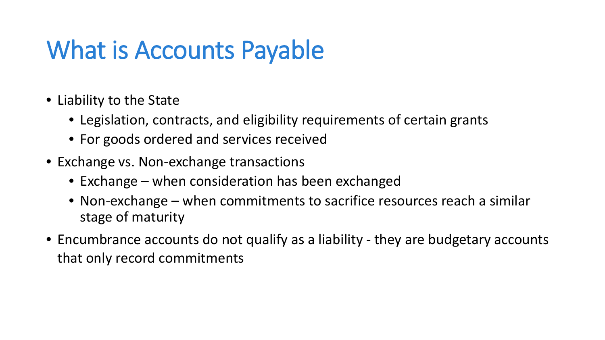#### What is Accounts Payable

- Liability to the State
	- Legislation, contracts, and eligibility requirements of certain grants
	- For goods ordered and services received
- Exchange vs. Non-exchange transactions
	- Exchange when consideration has been exchanged
	- Non-exchange when commitments to sacrifice resources reach a similar stage of maturity
- Encumbrance accounts do not qualify as a liability they are budgetary accounts that only record commitments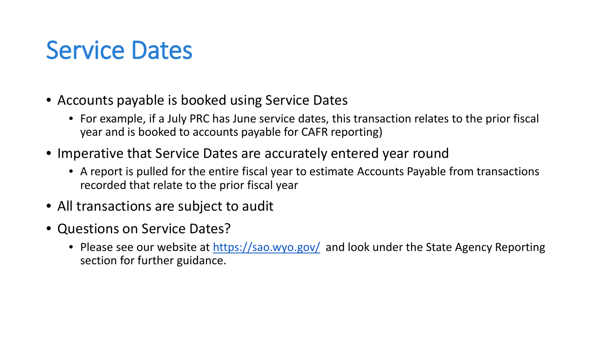#### Service Dates

- Accounts payable is booked using Service Dates
	- For example, if a July PRC has June service dates, this transaction relates to the prior fiscal year and is booked to accounts payable for CAFR reporting)
- Imperative that Service Dates are accurately entered year round
	- A report is pulled for the entire fiscal year to estimate Accounts Payable from transactions recorded that relate to the prior fiscal year
- All transactions are subject to audit
- Questions on Service Dates?
	- Please see our website at <https://sao.wyo.gov/> and look under the State Agency Reporting section for further guidance.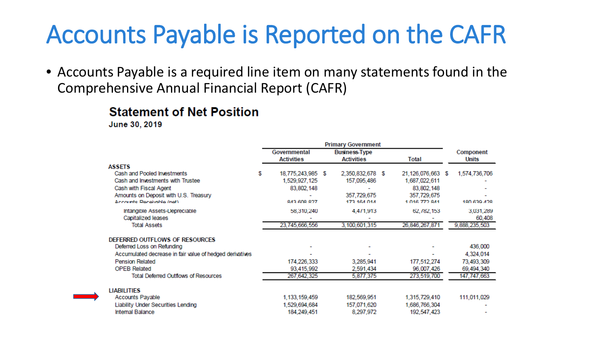### Accounts Payable is Reported on the CAFR

• Accounts Payable is a required line item on many statements found in the Comprehensive Annual Financial Report (CAFR)

#### **Statement of Net Position**

June 30, 2019

|                                                              | <b>Primary Government</b> |                   |  |                      |  |                   |  |               |
|--------------------------------------------------------------|---------------------------|-------------------|--|----------------------|--|-------------------|--|---------------|
|                                                              |                           | Governmental      |  | <b>Business-Type</b> |  |                   |  | Component     |
|                                                              |                           | <b>Activities</b> |  | <b>Activities</b>    |  | Total             |  | Units         |
| <b>ASSETS</b>                                                |                           |                   |  |                      |  |                   |  |               |
| Cash and Pooled Investments                                  | S                         | 18,775,243,985 \$ |  | 2,350,832,678 \$     |  | 21,126,076,663 \$ |  | 1,574,736,706 |
| Cash and Investments with Trustee                            |                           | 1,529,927,125     |  | 157,095,486          |  | 1,687,022,611     |  |               |
| Cash with Fiscal Agent                                       |                           | 83,802,148        |  |                      |  | 83, 802, 148      |  |               |
| Amounts on Deposit with U.S. Treasury                        |                           |                   |  | 357,729,675          |  | 357,729,675       |  |               |
| Accounte Peceivable (net)                                    |                           | 843 608 827       |  | 173 164 014          |  | 1.016.772.941     |  | 180 630 428   |
| Intangible Assets-Depreciable                                |                           | 58,310,240        |  | 4,4/1,913            |  | 62,782,153        |  | 3,031,289     |
| Capitalized leases                                           |                           |                   |  |                      |  |                   |  | 60,408        |
| <b>Total Assets</b>                                          |                           | 23,745,666,556    |  | 3,100,601,315        |  | 26,846,267,871    |  | 9,888,235,503 |
|                                                              |                           |                   |  |                      |  |                   |  |               |
| DEFERRED OUTFLOWS OF RESOURCES<br>Deferred Loss on Refunding |                           |                   |  |                      |  |                   |  | 436,000       |
|                                                              |                           |                   |  |                      |  |                   |  |               |
| Accumulated decrease in fair value of hedged derivatives     |                           |                   |  |                      |  |                   |  | 4,324,014     |
| <b>Pension Related</b>                                       |                           | 174,226,333       |  | 3,285,941            |  | 177,512,274       |  | 73,493,309    |
| <b>OPEB Related</b>                                          |                           | 93,415,992        |  | 2,591,434            |  | 96,007,426        |  | 69,494,340    |
| <b>Total Deferred Outflows of Resources</b>                  |                           | 267,642,325       |  | 5,877,375            |  | 273,519,700       |  | 147,747,663   |
| <b>LIABILITIES</b>                                           |                           |                   |  |                      |  |                   |  |               |
| <b>Accounts Payable</b>                                      |                           | 1, 133, 159, 459  |  | 182,569,951          |  | 1,315,729,410     |  | 111,011,029   |
| <b>Liability Under Securities Lending</b>                    |                           | 1,529,694,684     |  | 157,071,620          |  | 1,686,766,304     |  |               |
| Internal Balance                                             |                           | 184,249,451       |  | 8,297,972            |  | 192,547,423       |  |               |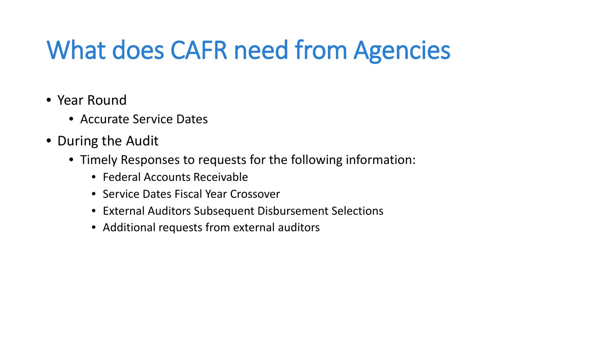# What does CAFR need from Agencies

- Year Round
	- Accurate Service Dates
- During the Audit
	- Timely Responses to requests for the following information:
		- Federal Accounts Receivable
		- Service Dates Fiscal Year Crossover
		- External Auditors Subsequent Disbursement Selections
		- Additional requests from external auditors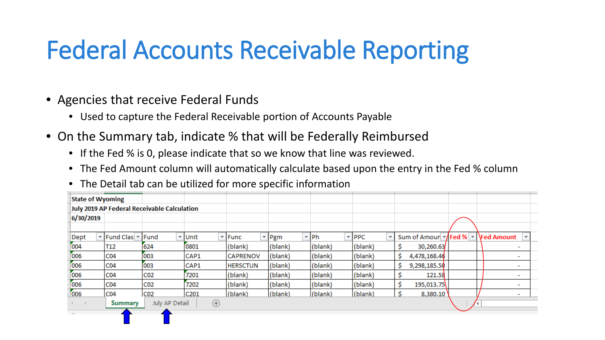# Federal Accounts Receivable Reporting

- Agencies that receive Federal Funds
	- Used to capture the Federal Receivable portion of Accounts Payable
- On the Summary tab, indicate % that will be Federally Reimbursed
	- If the Fed % is 0, please indicate that so we know that line was reviewed.
	- The Fed Amount column will automatically calculate based upon the entry in the Fed % column
	- The Detail tab can be utilized for more specific information

|                                             | <b>State of Wyoming</b>                                       |                    |                 |                          |                 |                  |                              |                                |                     |  |                            |
|---------------------------------------------|---------------------------------------------------------------|--------------------|-----------------|--------------------------|-----------------|------------------|------------------------------|--------------------------------|---------------------|--|----------------------------|
| July 2019 AP Federal Receivable Calculation |                                                               |                    |                 |                          |                 |                  |                              |                                |                     |  |                            |
|                                             | 6/30/2019                                                     |                    |                 |                          |                 |                  |                              |                                |                     |  |                            |
|                                             |                                                               |                    |                 |                          |                 |                  |                              |                                |                     |  |                            |
|                                             | Dept                                                          | ▼ Fund Clas ▼ Fund |                 | $\overline{v}$ Unit<br>÷ | Func            | $\mathbf{v}$ Pgm | $\overline{\mathsf{P}}$   Ph | $\overline{\phantom{a}}$   PPC | Sum of Amour \Fed % |  | $\mathbf{r}$   \Fed Amount |
|                                             | 004                                                           | T <sub>12</sub>    | 624             | 0801                     | (blank)         | (blank)          | (blank)                      | (blank)                        | 30,260.63           |  | -                          |
|                                             | 006                                                           | CO <sub>4</sub>    | 003             | CAP1                     | <b>CAPRENOV</b> | (blank)          | (blank)                      | (blank)                        | s<br>4,478,168.46   |  | -                          |
|                                             | 006                                                           | CO <sub>4</sub>    | 003             | CAP1                     | <b>HERSCTUN</b> | (blank)          | (blank)                      | (blank)                        | 9,298,185.50<br>S   |  | $\overline{\phantom{a}}$   |
|                                             | 006                                                           | CO <sub>4</sub>    | CO <sub>2</sub> | 7201                     | (blank)         | (blank)          | (blank)                      | (blank)                        | 121.58              |  | ٠                          |
|                                             | 006                                                           | CO <sub>4</sub>    | CO <sub>2</sub> | 7202                     | (blank)         | (blank)          | (blank)                      | (blank)                        | 195,013.75<br>S     |  | ٠                          |
|                                             | 006                                                           | CO <sub>4</sub>    | C <sub>02</sub> | C201                     | (blank)         | (blank)          | (blank)                      | (blank)                        | 8,380.10<br>s       |  | ٠                          |
|                                             | $^{\circledR}$<br>July AP Detail<br><b>Summary</b><br>$4 - 1$ |                    |                 |                          |                 |                  |                              |                                |                     |  |                            |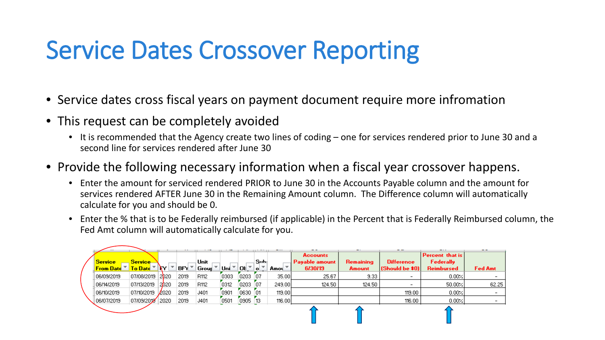# Service Dates Crossover Reporting

- Service dates cross fiscal years on payment document require more infromation
- This request can be completely avoided
	- It is recommended that the Agency create two lines of coding one for services rendered prior to June 30 and a second line for services rendered after June 30
- Provide the following necessary information when a fiscal year crossover happens.
	- Enter the amount for serviced rendered PRIOR to June 30 in the Accounts Payable column and the amount for services rendered AFTER June 30 in the Remaining Amount column. The Difference column will automatically calculate for you and should be 0.
	- Enter the % that is to be Federally reimbursed (if applicable) in the Percent that is Federally Reimbursed column, the Fed Amt column will automatically calculate for you.

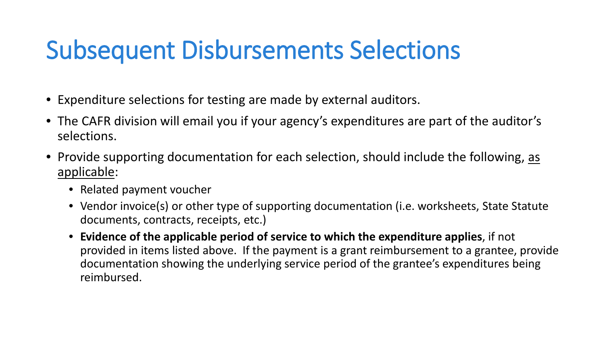### Subsequent Disbursements Selections

- Expenditure selections for testing are made by external auditors.
- The CAFR division will email you if your agency's expenditures are part of the auditor's selections.
- Provide supporting documentation for each selection, should include the following, as applicable:
	- Related payment voucher
	- Vendor invoice(s) or other type of supporting documentation (i.e. worksheets, State Statute documents, contracts, receipts, etc.)
	- **Evidence of the applicable period of service to which the expenditure applies**, if not provided in items listed above. If the payment is a grant reimbursement to a grantee, provide documentation showing the underlying service period of the grantee's expenditures being reimbursed.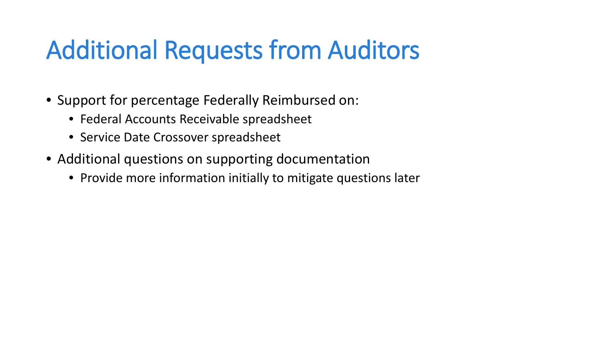#### Additional Requests from Auditors

- Support for percentage Federally Reimbursed on:
	- Federal Accounts Receivable spreadsheet
	- Service Date Crossover spreadsheet
- Additional questions on supporting documentation
	- Provide more information initially to mitigate questions later